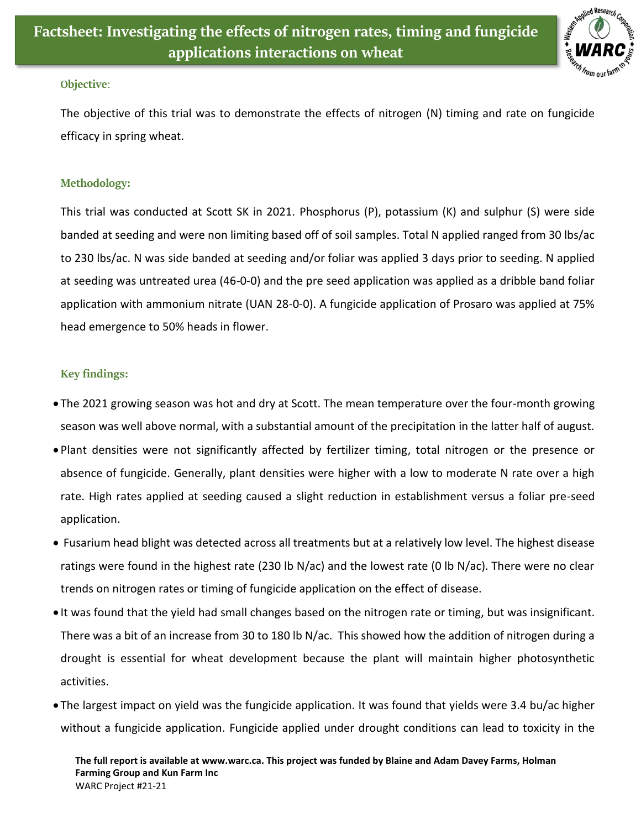

## **Objective**:

The objective of this trial was to demonstrate the effects of nitrogen (N) timing and rate on fungicide efficacy in spring wheat.

## **Methodology:**

This trial was conducted at Scott SK in 2021. Phosphorus (P), potassium (K) and sulphur (S) were side banded at seeding and were non limiting based off of soil samples. Total N applied ranged from 30 lbs/ac to 230 lbs/ac. N was side banded at seeding and/or foliar was applied 3 days prior to seeding. N applied at seeding was untreated urea (46-0-0) and the pre seed application was applied as a dribble band foliar application with ammonium nitrate (UAN 28-0-0). A fungicide application of Prosaro was applied at 75% head emergence to 50% heads in flower.

## **Key findings:**

- The 2021 growing season was hot and dry at Scott. The mean temperature over the four-month growing season was well above normal, with a substantial amount of the precipitation in the latter half of august.
- Plant densities were not significantly affected by fertilizer timing, total nitrogen or the presence or absence of fungicide. Generally, plant densities were higher with a low to moderate N rate over a high rate. High rates applied at seeding caused a slight reduction in establishment versus a foliar pre-seed application.
- Fusarium head blight was detected across all treatments but at a relatively low level. The highest disease ratings were found in the highest rate (230 lb N/ac) and the lowest rate (0 lb N/ac). There were no clear trends on nitrogen rates or timing of fungicide application on the effect of disease.
- It was found that the yield had small changes based on the nitrogen rate or timing, but was insignificant. There was a bit of an increase from 30 to 180 lb N/ac. This showed how the addition of nitrogen during a drought is essential for wheat development because the plant will maintain higher photosynthetic activities.
- The largest impact on yield was the fungicide application. It was found that yields were 3.4 bu/ac higher without a fungicide application. Fungicide applied under drought conditions can lead to toxicity in the